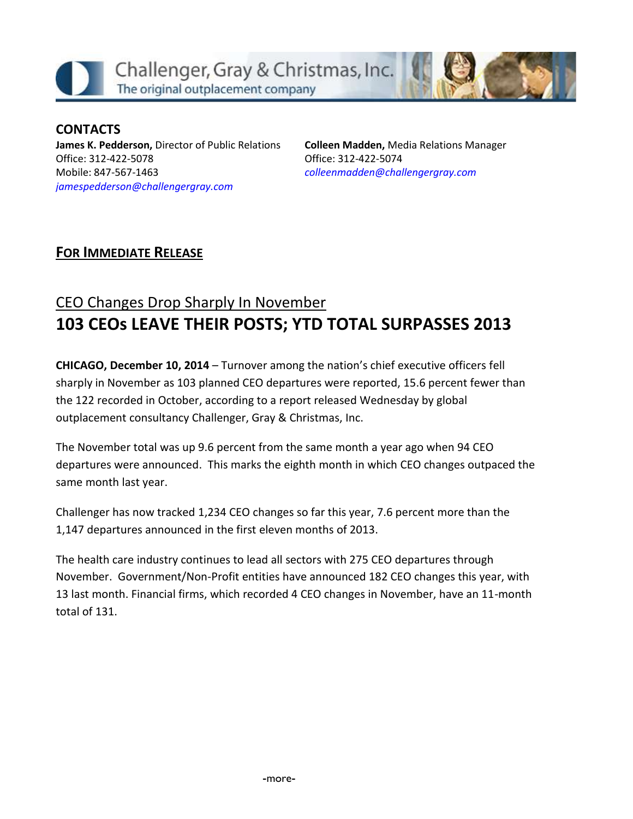

**CONTACTS James K. Pedderson,** Director of Public Relations Office: 312-422-5078 Mobile: 847-567-1463 *[jamespedderson@challengergray.com](mailto:jamespedderson@challengergray.com)*

**Colleen Madden,** Media Relations Manager Office: 312-422-5074 *[colleenmadden@challengergray.com](mailto:colleenmadden@challengergray.com)*

## **FOR IMMEDIATE RELEASE**

## CEO Changes Drop Sharply In November **103 CEOs LEAVE THEIR POSTS; YTD TOTAL SURPASSES 2013**

**CHICAGO, December 10, 2014** – Turnover among the nation's chief executive officers fell sharply in November as 103 planned CEO departures were reported, 15.6 percent fewer than the 122 recorded in October, according to a report released Wednesday by global outplacement consultancy Challenger, Gray & Christmas, Inc.

The November total was up 9.6 percent from the same month a year ago when 94 CEO departures were announced. This marks the eighth month in which CEO changes outpaced the same month last year.

Challenger has now tracked 1,234 CEO changes so far this year, 7.6 percent more than the 1,147 departures announced in the first eleven months of 2013.

The health care industry continues to lead all sectors with 275 CEO departures through November. Government/Non-Profit entities have announced 182 CEO changes this year, with 13 last month. Financial firms, which recorded 4 CEO changes in November, have an 11-month total of 131.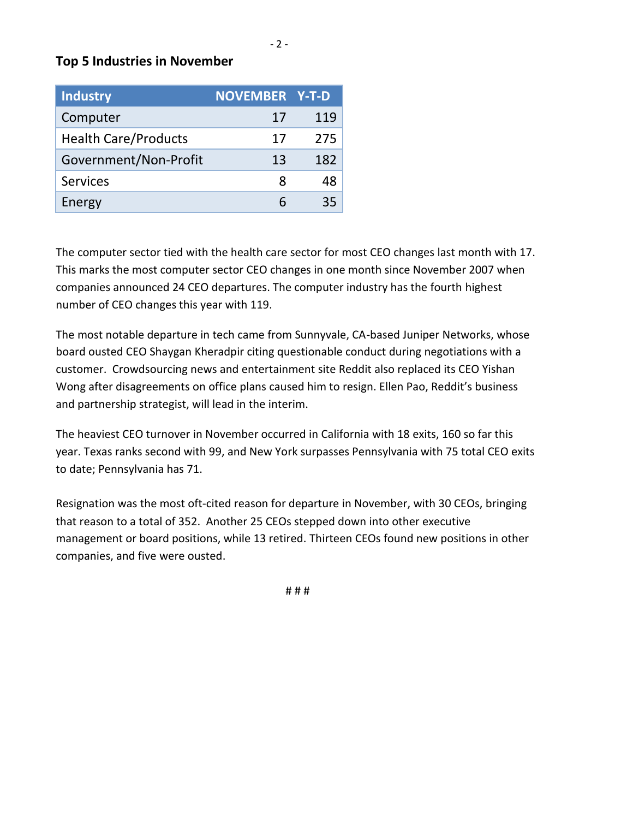### **Top 5 Industries in November**

| Industry                    | <b>NOVEMBER Y-T-D</b> |     |
|-----------------------------|-----------------------|-----|
| Computer                    | 17                    | 119 |
| <b>Health Care/Products</b> | 17                    | 275 |
| Government/Non-Profit       | 13                    | 182 |
| <b>Services</b>             | x                     | 48  |
| Energy                      |                       | 35  |

The computer sector tied with the health care sector for most CEO changes last month with 17. This marks the most computer sector CEO changes in one month since November 2007 when companies announced 24 CEO departures. The computer industry has the fourth highest number of CEO changes this year with 119.

The most notable departure in tech came from Sunnyvale, CA-based Juniper Networks, whose board ousted CEO Shaygan Kheradpir citing questionable conduct during negotiations with a customer. Crowdsourcing news and entertainment site Reddit also replaced its CEO Yishan Wong after disagreements on office plans caused him to resign. Ellen Pao, Reddit's business and partnership strategist, will lead in the interim.

The heaviest CEO turnover in November occurred in California with 18 exits, 160 so far this year. Texas ranks second with 99, and New York surpasses Pennsylvania with 75 total CEO exits to date; Pennsylvania has 71.

Resignation was the most oft-cited reason for departure in November, with 30 CEOs, bringing that reason to a total of 352. Another 25 CEOs stepped down into other executive management or board positions, while 13 retired. Thirteen CEOs found new positions in other companies, and five were ousted.

# # #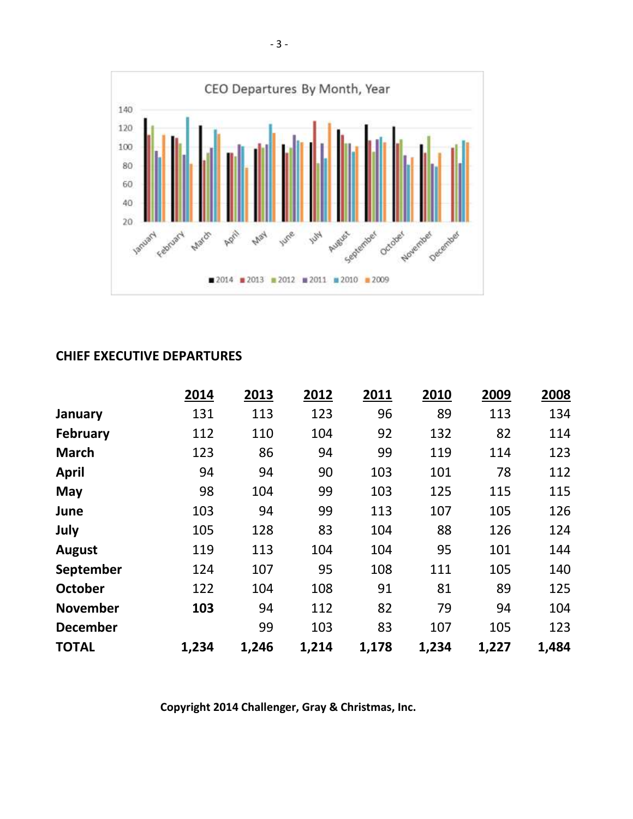

### **CHIEF EXECUTIVE DEPARTURES**

|                 | 2014  | 2013  | 2012  | 2011  | 2010  | 2009  | 2008  |
|-----------------|-------|-------|-------|-------|-------|-------|-------|
| January         | 131   | 113   | 123   | 96    | 89    | 113   | 134   |
| <b>February</b> | 112   | 110   | 104   | 92    | 132   | 82    | 114   |
| <b>March</b>    | 123   | 86    | 94    | 99    | 119   | 114   | 123   |
| April           | 94    | 94    | 90    | 103   | 101   | 78    | 112   |
| May             | 98    | 104   | 99    | 103   | 125   | 115   | 115   |
| June            | 103   | 94    | 99    | 113   | 107   | 105   | 126   |
| July            | 105   | 128   | 83    | 104   | 88    | 126   | 124   |
| <b>August</b>   | 119   | 113   | 104   | 104   | 95    | 101   | 144   |
| September       | 124   | 107   | 95    | 108   | 111   | 105   | 140   |
| <b>October</b>  | 122   | 104   | 108   | 91    | 81    | 89    | 125   |
| <b>November</b> | 103   | 94    | 112   | 82    | 79    | 94    | 104   |
| <b>December</b> |       | 99    | 103   | 83    | 107   | 105   | 123   |
| <b>TOTAL</b>    | 1,234 | 1,246 | 1,214 | 1,178 | 1,234 | 1,227 | 1,484 |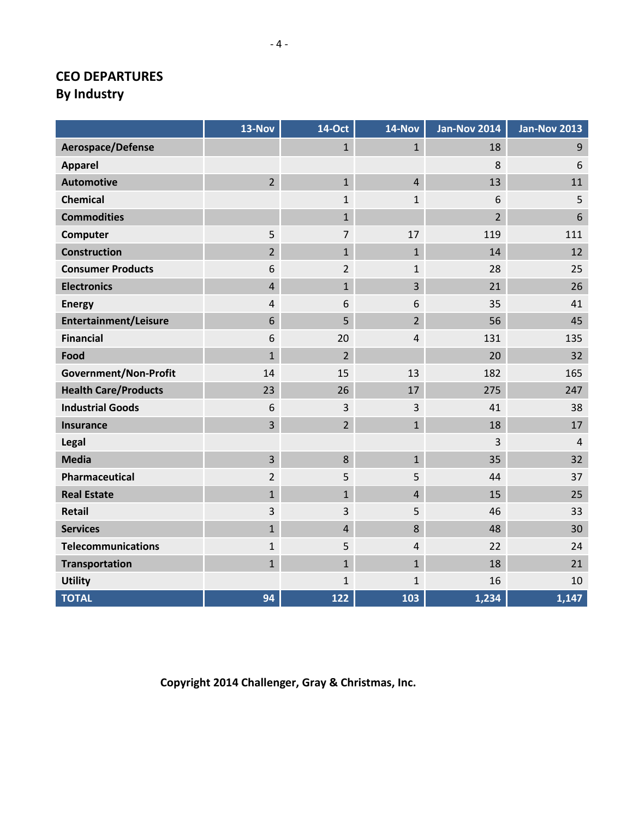## **CEO DEPARTURES By Industry**

|                              | 13-Nov         | <b>14-Oct</b>  | 14-Nov         | <b>Jan-Nov 2014</b> | <b>Jan-Nov 2013</b> |
|------------------------------|----------------|----------------|----------------|---------------------|---------------------|
| Aerospace/Defense            |                | $\mathbf{1}$   | $\mathbf{1}$   | 18                  | $9$                 |
| <b>Apparel</b>               |                |                |                | 8                   | 6                   |
| <b>Automotive</b>            | $\overline{2}$ | $\mathbf{1}$   | $\overline{4}$ | 13                  | 11                  |
| <b>Chemical</b>              |                | $\mathbf{1}$   | $\mathbf{1}$   | 6                   | 5                   |
| <b>Commodities</b>           |                | $\mathbf{1}$   |                | $\overline{2}$      | 6                   |
| Computer                     | 5              | $\overline{7}$ | 17             | 119                 | 111                 |
| <b>Construction</b>          | $\overline{2}$ | $\mathbf{1}$   | $\mathbf{1}$   | 14                  | 12                  |
| <b>Consumer Products</b>     | 6              | $\overline{2}$ | $\mathbf{1}$   | 28                  | 25                  |
| <b>Electronics</b>           | $\overline{4}$ | $\mathbf{1}$   | 3              | 21                  | 26                  |
| <b>Energy</b>                | $\overline{4}$ | 6              | 6              | 35                  | 41                  |
| <b>Entertainment/Leisure</b> | 6              | 5              | $\overline{2}$ | 56                  | 45                  |
| <b>Financial</b>             | 6              | 20             | $\overline{4}$ | 131                 | 135                 |
| Food                         | $\mathbf{1}$   | $\overline{2}$ |                | 20                  | 32                  |
| <b>Government/Non-Profit</b> | 14             | 15             | 13             | 182                 | 165                 |
| <b>Health Care/Products</b>  | 23             | 26             | 17             | 275                 | 247                 |
| <b>Industrial Goods</b>      | 6              | 3              | 3              | 41                  | 38                  |
| <b>Insurance</b>             | $\overline{3}$ | $\overline{2}$ | $\mathbf{1}$   | 18                  | 17                  |
| Legal                        |                |                |                | 3                   | $\overline{4}$      |
| <b>Media</b>                 | $\overline{3}$ | 8              | $\mathbf{1}$   | 35                  | 32                  |
| Pharmaceutical               | $\overline{2}$ | 5              | 5              | 44                  | 37                  |
| <b>Real Estate</b>           | $\mathbf{1}$   | $\overline{1}$ | $\overline{4}$ | 15                  | 25                  |
| <b>Retail</b>                | 3              | 3              | 5              | 46                  | 33                  |
| <b>Services</b>              | $\mathbf{1}$   | $\overline{4}$ | 8              | 48                  | 30                  |
| <b>Telecommunications</b>    | $\mathbf{1}$   | 5              | $\overline{4}$ | 22                  | 24                  |
| <b>Transportation</b>        | $\mathbf{1}$   | $\mathbf{1}$   | $\mathbf{1}$   | 18                  | 21                  |
| <b>Utility</b>               |                | $\mathbf{1}$   | $\mathbf{1}$   | 16                  | 10                  |
| <b>TOTAL</b>                 | 94             | 122            | 103            | 1,234               | 1,147               |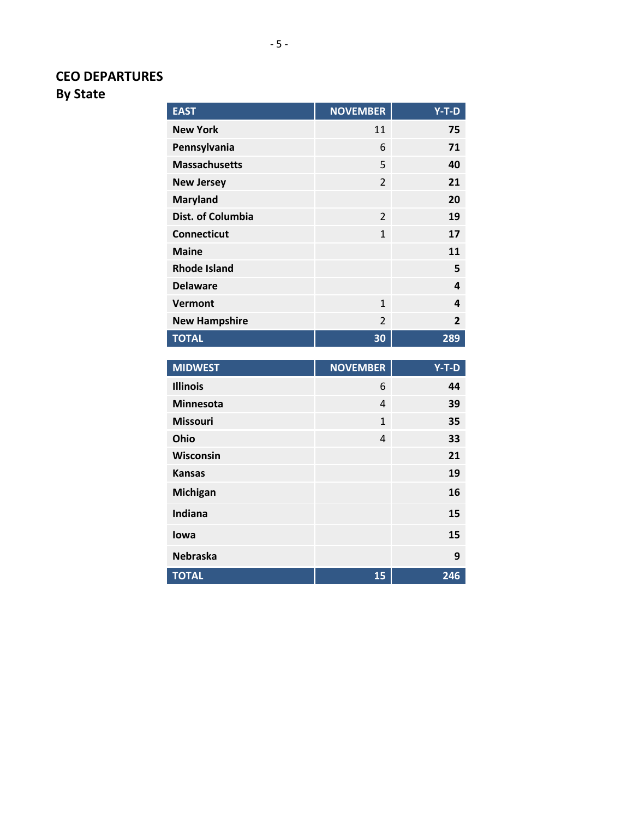## **CEO DEPARTURES**

**By State**

| <b>EAST</b>              | <b>NOVEMBER</b> | $Y-T-D$        |
|--------------------------|-----------------|----------------|
| <b>New York</b>          | 11              | 75             |
| Pennsylvania             | 6               | 71             |
| <b>Massachusetts</b>     | 5               | 40             |
| <b>New Jersey</b>        | 2               | 21             |
| <b>Maryland</b>          |                 | 20             |
| <b>Dist. of Columbia</b> | 2               | 19             |
| <b>Connecticut</b>       | $\mathbf{1}$    | 17             |
| <b>Maine</b>             |                 | 11             |
| <b>Rhode Island</b>      |                 | 5              |
| <b>Delaware</b>          |                 | 4              |
| Vermont                  | 1               | 4              |
| <b>New Hampshire</b>     | $\overline{2}$  | $\overline{2}$ |
| <b>TOTAL</b>             | 30              | 289            |

| <b>MIDWEST</b>   | <b>NOVEMBER</b> | $Y-T-D$ |
|------------------|-----------------|---------|
| <b>Illinois</b>  | 6               | 44      |
| <b>Minnesota</b> | 4               | 39      |
| <b>Missouri</b>  | $\mathbf{1}$    | 35      |
| Ohio             | 4               | 33      |
| Wisconsin        |                 | 21      |
| <b>Kansas</b>    |                 | 19      |
| Michigan         |                 | 16      |
| Indiana          |                 | 15      |
| lowa             |                 | 15      |
| <b>Nebraska</b>  |                 | 9       |
| <b>TOTAL</b>     | 15              | 246     |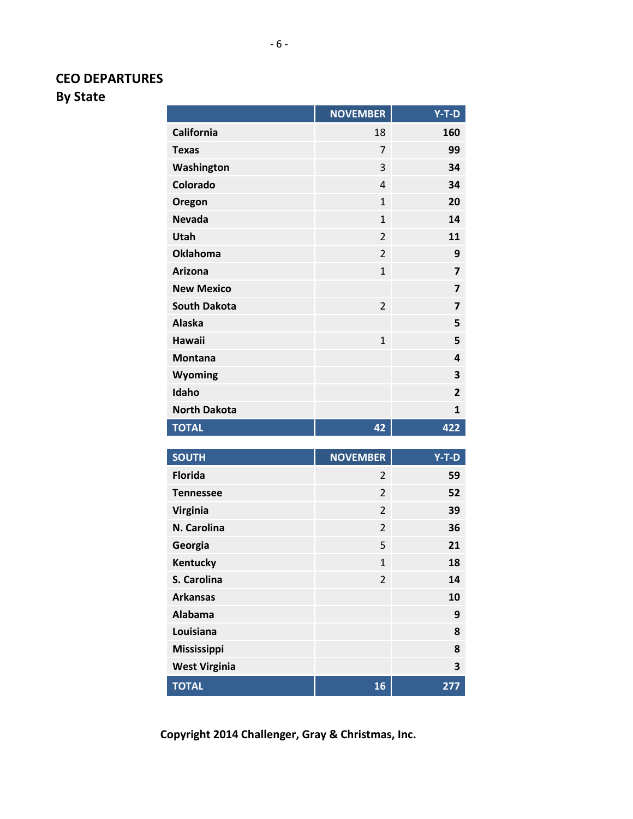# **CEO DEPARTURES**

**By State**

|                     | <b>NOVEMBER</b> | $Y-T-D$                 |
|---------------------|-----------------|-------------------------|
| <b>California</b>   | 18              | 160                     |
| <b>Texas</b>        | 7               | 99                      |
| Washington          | 3               | 34                      |
| Colorado            | $\overline{4}$  | 34                      |
| Oregon              | $\overline{1}$  | 20                      |
| <b>Nevada</b>       | $\overline{1}$  | 14                      |
| Utah                | $\overline{2}$  | 11                      |
| <b>Oklahoma</b>     | $\overline{2}$  | 9                       |
| <b>Arizona</b>      | $\overline{1}$  | $\overline{7}$          |
| <b>New Mexico</b>   |                 | $\overline{\mathbf{z}}$ |
| <b>South Dakota</b> | $\overline{2}$  | $\overline{7}$          |
| <b>Alaska</b>       |                 | 5                       |
| <b>Hawaii</b>       | $\mathbf{1}$    | 5                       |
| <b>Montana</b>      |                 | 4                       |
| Wyoming             |                 | 3                       |
| Idaho               |                 | $\overline{2}$          |
| <b>North Dakota</b> |                 | $\mathbf{1}$            |
| <b>TOTAL</b>        | 42              | 422                     |
|                     |                 |                         |
| <b>SOUTH</b>        | <b>NOVEMBER</b> | Y-T-D                   |
| <b>Florida</b>      | 2               | 59                      |
| <b>Tennessee</b>    | $\overline{2}$  | 52                      |
| <b>Virginia</b>     | $\overline{2}$  | 39                      |
| N. Carolina         | $\overline{2}$  | 36                      |

**TOTAL 16 277**

**Georgia** 5 **21 Kentucky** 1 **18 S. Carolina** 2 **14 Arkansas 10 Alabama 9 Louisiana 8 Mississippi 8 West Virginia 3**